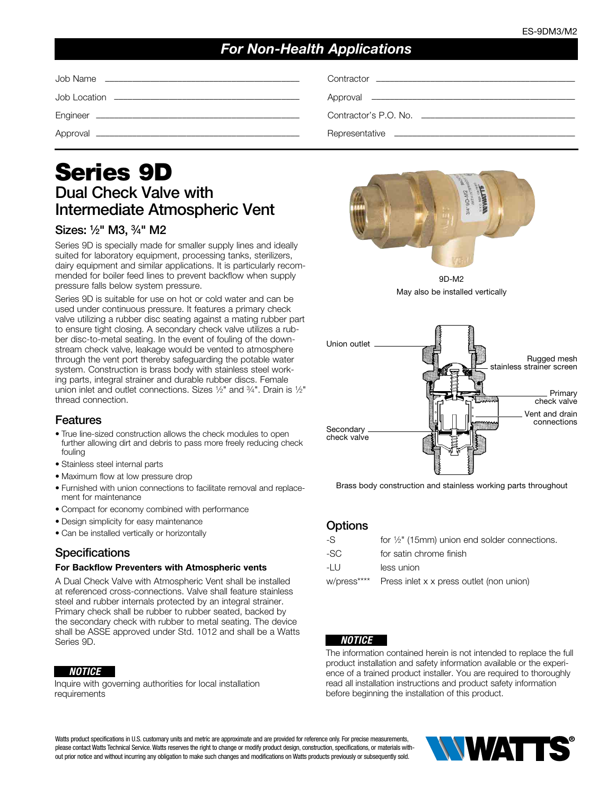# *For Non-Health Applications*

# Series 9D Dual Check Valve with Intermediate Atmospheric Vent

### Sizes: 1⁄2" M3, 3⁄4" M2

Series 9D is specially made for smaller supply lines and ideally suited for laboratory equipment, processing tanks, sterilizers, dairy equipment and similar applications. It is particularly recommended for boiler feed lines to prevent backflow when supply pressure falls below system pressure.

Series 9D is suitable for use on hot or cold water and can be used under continuous pressure. It features a primary check valve utilizing a rubber disc seating against a mating rubber part to ensure tight closing. A secondary check valve utilizes a rubber disc-to-metal seating. In the event of fouling of the downstream check valve, leakage would be vented to atmosphere through the vent port thereby safeguarding the potable water system. Construction is brass body with stainless steel working parts, integral strainer and durable rubber discs. Female union inlet and outlet connections. Sizes 1⁄2" and 3⁄4". Drain is 1⁄2" thread connection.

### Features

- True line-sized construction allows the check modules to open further allowing dirt and debris to pass more freely reducing check fouling
- Stainless steel internal parts
- Maximum flow at low pressure drop
- Furnished with union connections to facilitate removal and replacement for maintenance
- Compact for economy combined with performance
- Design simplicity for easy maintenance
- Can be installed vertically or horizontally

### **Specifications**

#### For Backflow Preventers with Atmospheric vents

A Dual Check Valve with Atmospheric Vent shall be installed at referenced cross-connections. Valve shall feature stainless steel and rubber internals protected by an integral strainer. Primary check shall be rubber to rubber seated, backed by the secondary check with rubber to metal seating. The device shall be ASSE approved under Std. 1012 and shall be a Watts Series 9D.

#### *NOTICE*

Inquire with governing authorities for local installation requirements



9D-M2 May also be installed vertically



Brass body construction and stainless working parts throughout

#### **Options**

| -S          | for $\frac{1}{2}$ " (15mm) union end solder connections. |
|-------------|----------------------------------------------------------|
| -SC         | for satin chrome finish                                  |
| -I U        | less union                                               |
| w/press**** | Press inlet x x press outlet (non union)                 |
|             |                                                          |

#### *NOTICE*

The information contained herein is not intended to replace the full product installation and safety information available or the experience of a trained product installer. You are required to thoroughly read all installation instructions and product safety information before beginning the installation of this product.

Watts product specifications in U.S. customary units and metric are approximate and are provided for reference only. For precise measurements, please contact Watts Technical Service. Watts reserves the right to change or modify product design, construction, specifications, or materials without prior notice and without incurring any obligation to make such changes and modifications on Watts products previously or subsequently sold.